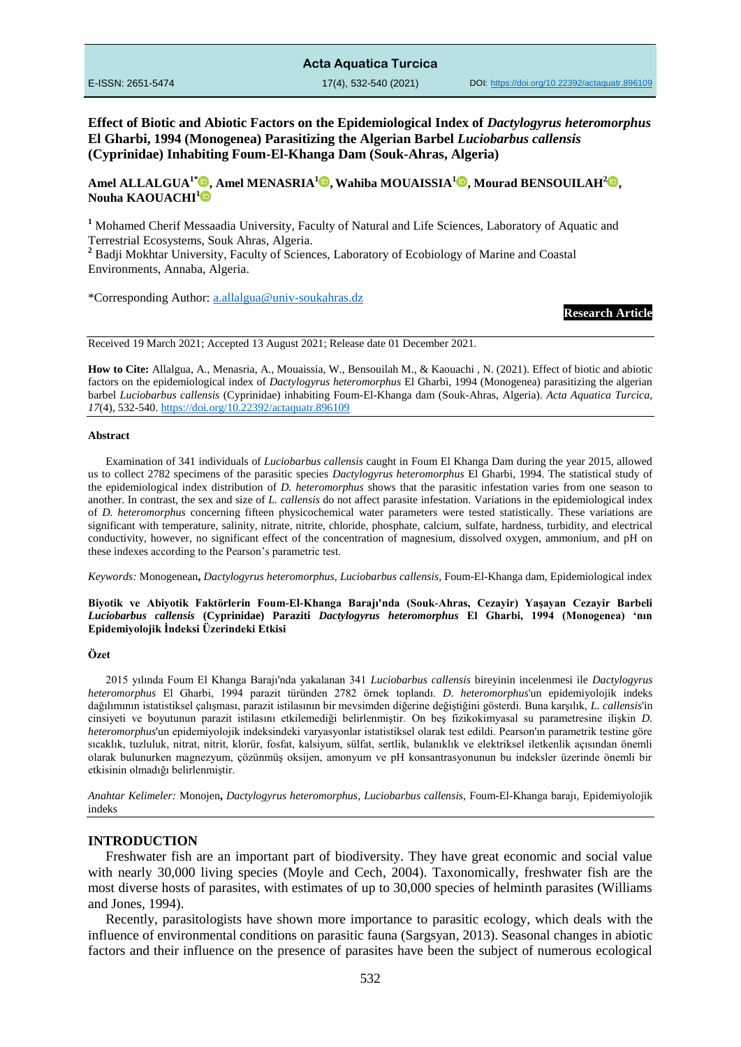### **Acta Aquatica Turcica**

**Effect of Biotic and Abiotic Factors on the Epidemiological Index of** *Dactylogyrus heteromorphus* **El Gharbi, 1994 (Monogenea) Parasitizing the Algerian Barbel** *Luciobarbus callensis* **(Cyprinidae) Inhabiting Foum-El-Khanga Dam (Souk-Ahras, Algeria)**

**Amel ALLALGUA1[\\*](https://orcid.org/0000-0002-9896-9033) , Amel MENASRIA[1](https://orcid.org/0000-0002-8621-3204) , Wahiba MOUAISSIA<sup>1</sup> , Mourad BENSOUILAH[2](https://orcid.org/0000-0002-9574-5915) , Nouha KAOUACHI<sup>1</sup>**

**<sup>1</sup>** Mohamed Cherif Messaadia University, Faculty of Natural and Life Sciences, Laboratory of Aquatic and Terrestrial Ecosystems, Souk Ahras, Algeria.

<sup>2</sup> Badii Mokhtar University, Faculty of Sciences, Laboratory of Ecobiology of Marine and Coastal Environments, Annaba, Algeria.

\*Corresponding Author: [a.allalgua@univ-soukahras.dz](mailto:a.allalgua@univ-soukahras.dz)

**Research Article**

Received 19 March 2021; Accepted 13 August 2021; Release date 01 December 2021.

**How to Cite:** Allalgua, A., Menasria, A., Mouaissia, W., Bensouilah M., & Kaouachi , N. (2021). Effect of biotic and abiotic factors on the epidemiological index of *Dactylogyrus heteromorphus* El Gharbi, 1994 (Monogenea) parasitizing the algerian barbel *Luciobarbus callensis* (Cyprinidae) inhabiting Foum-El-Khanga dam (Souk-Ahras, Algeria). *Acta Aquatica Turcica, 17*(4), 532-540[. https://doi.org/10.22392/actaquatr.896109](https://doi.org/10.22392/actaquatr.896109) 

#### **Abstract**

Examination of 341 individuals of *Luciobarbus callensis* caught in Foum El Khanga Dam during the year 2015, allowed us to collect 2782 specimens of the parasitic species *Dactylogyrus heteromorphus* El Gharbi, 1994. The statistical study of the epidemiological index distribution of *D. heteromorphus* shows that the parasitic infestation varies from one season to another. In contrast, the sex and size of *L. callensis* do not affect parasite infestation. Variations in the epidemiological index of *D. heteromorphus* concerning fifteen physicochemical water parameters were tested statistically. These variations are significant with temperature, salinity, nitrate, nitrite, chloride, phosphate, calcium, sulfate, hardness, turbidity, and electrical conductivity, however, no significant effect of the concentration of magnesium, dissolved oxygen, ammonium, and pH on these indexes according to the Pearson's parametric test.

*Keywords:* Monogenean**,** *Dactylogyrus heteromorphus, Luciobarbus callensis,* Foum-El-Khanga dam*,* Epidemiological index

#### **Biyotik ve Abiyotik Faktörlerin Foum-El-Khanga Barajı'nda (Souk-Ahras, Cezayir) Yaşayan Cezayir Barbeli**  *Luciobarbus callensis* **(Cyprinidae) Paraziti** *Dactylogyrus heteromorphus* **El Gharbi, 1994 (Monogenea) 'nın Epidemiyolojik İndeksi Üzerindeki Etkisi**

#### **Özet**

2015 yılında Foum El Khanga Barajı'nda yakalanan 341 *Luciobarbus callensis* bireyinin incelenmesi ile *Dactylogyrus heteromorphus* El Gharbi, 1994 parazit türünden 2782 örnek toplandı. *D. heteromorphus*'un epidemiyolojik indeks dağılımının istatistiksel çalışması, parazit istilasının bir mevsimden diğerine değiştiğini gösterdi. Buna karşılık, *L. callensis*'in cinsiyeti ve boyutunun parazit istilasını etkilemediği belirlenmiştir. On beş fizikokimyasal su parametresine ilişkin *D. heteromorphus*'un epidemiyolojik indeksindeki varyasyonlar istatistiksel olarak test edildi. Pearson'ın parametrik testine göre sıcaklık, tuzluluk, nitrat, nitrit, klorür, fosfat, kalsiyum, sülfat, sertlik, bulanıklık ve elektriksel iletkenlik açısından önemli olarak bulunurken magnezyum, çözünmüş oksijen, amonyum ve pH konsantrasyonunun bu indeksler üzerinde önemli bir etkisinin olmadığı belirlenmiştir.

*Anahtar Kelimeler:* Monojen**,** *Dactylogyrus heteromorphus, Luciobarbus callensis,* Foum-El-Khanga barajı*,* Epidemiyolojik indeks

#### **INTRODUCTION**

Freshwater fish are an important part of biodiversity. They have great economic and social value with nearly 30,000 living species (Moyle and Cech, 2004). Taxonomically, freshwater fish are the most diverse hosts of parasites, with estimates of up to 30,000 species of helminth parasites (Williams and Jones, 1994).

Recently, parasitologists have shown more importance to parasitic ecology, which deals with the influence of environmental conditions on parasitic fauna (Sargsyan, 2013). Seasonal changes in abiotic factors and their influence on the presence of parasites have been the subject of numerous ecological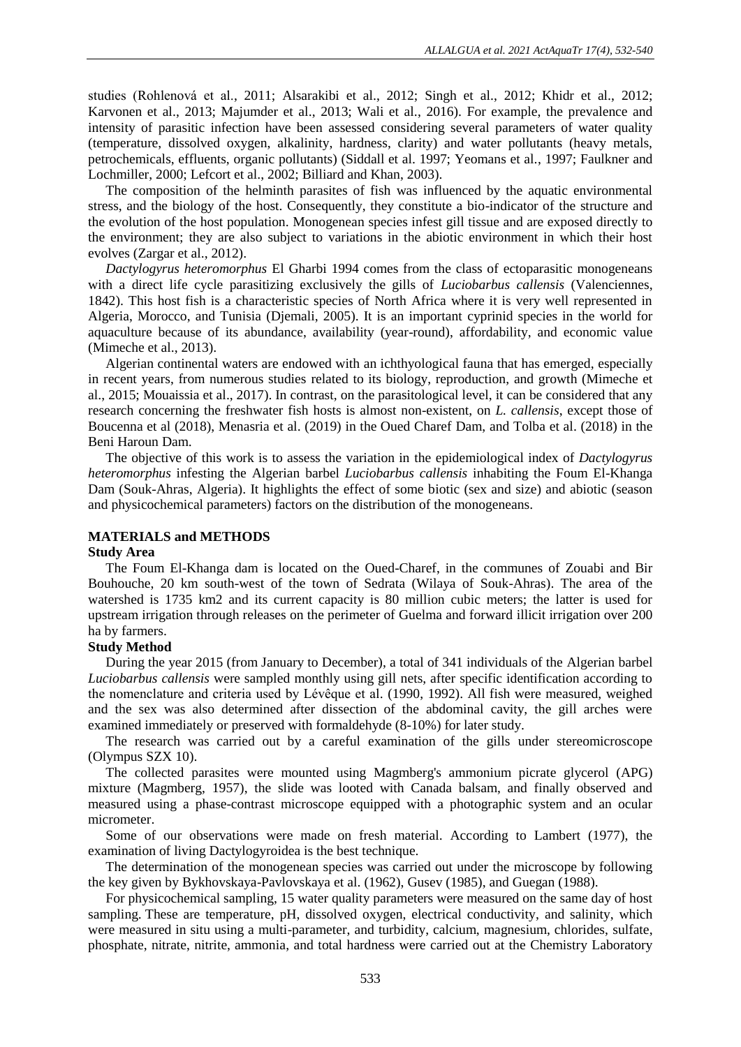studies (Rohlenová et al., 2011; Alsarakibi et al., 2012; Singh et al., 2012; Khidr et al., 2012; Karvonen et al., 2013; Majumder et al., 2013; Wali et al., 2016). For example, the prevalence and intensity of parasitic infection have been assessed considering several parameters of water quality (temperature, dissolved oxygen, alkalinity, hardness, clarity) and water pollutants (heavy metals, petrochemicals, effluents, organic pollutants) (Siddall et al. 1997; Yeomans et al., 1997; Faulkner and Lochmiller, 2000; Lefcort et al., 2002; Billiard and Khan, 2003).

The composition of the helminth parasites of fish was influenced by the aquatic environmental stress, and the biology of the host. Consequently, they constitute a bio-indicator of the structure and the evolution of the host population. Monogenean species infest gill tissue and are exposed directly to the environment; they are also subject to variations in the abiotic environment in which their host evolves (Zargar et al., 2012).

*Dactylogyrus heteromorphus* El Gharbi 1994 comes from the class of ectoparasitic monogeneans with a direct life cycle parasitizing exclusively the gills of *Luciobarbus callensis* (Valenciennes, 1842). This host fish is a characteristic species of North Africa where it is very well represented in Algeria, Morocco, and Tunisia (Djemali, 2005). It is an important cyprinid species in the world for aquaculture because of its abundance, availability (year-round), affordability, and economic value (Mimeche et al., 2013).

Algerian continental waters are endowed with an ichthyological fauna that has emerged, especially in recent years, from numerous studies related to its biology, reproduction, and growth (Mimeche et al., 2015; Mouaissia et al., 2017). In contrast, on the parasitological level, it can be considered that any research concerning the freshwater fish hosts is almost non-existent, on *L. callensis*, except those of Boucenna et al (2018), Menasria et al. (2019) in the Oued Charef Dam, and Tolba et al. (2018) in the Beni Haroun Dam.

The objective of this work is to assess the variation in the epidemiological index of *Dactylogyrus heteromorphus* infesting the Algerian barbel *Luciobarbus callensis* inhabiting the Foum El-Khanga Dam (Souk-Ahras, Algeria). It highlights the effect of some biotic (sex and size) and abiotic (season and physicochemical parameters) factors on the distribution of the monogeneans.

### **MATERIALS and METHODS**

### **Study Area**

The Foum El-Khanga dam is located on the Oued-Charef, in the communes of Zouabi and Bir Bouhouche, 20 km south-west of the town of Sedrata (Wilaya of Souk-Ahras). The area of the watershed is 1735 km2 and its current capacity is 80 million cubic meters; the latter is used for upstream irrigation through releases on the perimeter of Guelma and forward illicit irrigation over 200 ha by farmers.

### **Study Method**

During the year 2015 (from January to December), a total of 341 individuals of the Algerian barbel *Luciobarbus callensis* were sampled monthly using gill nets, after specific identification according to the nomenclature and criteria used by Lévêque et al. (1990, 1992). All fish were measured, weighed and the sex was also determined after dissection of the abdominal cavity, the gill arches were examined immediately or preserved with formaldehyde (8-10%) for later study.

The research was carried out by a careful examination of the gills under stereomicroscope (Olympus SZX 10).

The collected parasites were mounted using Magmberg's ammonium picrate glycerol (APG) mixture (Magmberg, 1957), the slide was looted with Canada balsam, and finally observed and measured using a phase-contrast microscope equipped with a photographic system and an ocular micrometer.

Some of our observations were made on fresh material. According to Lambert (1977), the examination of living Dactylogyroidea is the best technique.

The determination of the monogenean species was carried out under the microscope by following the key given by Bykhovskaya-Pavlovskaya et al. (1962), Gusev (1985), and Guegan (1988).

For physicochemical sampling, 15 water quality parameters were measured on the same day of host sampling. These are temperature, pH, dissolved oxygen, electrical conductivity, and salinity, which were measured in situ using a multi-parameter, and turbidity, calcium, magnesium, chlorides, sulfate, phosphate, nitrate, nitrite, ammonia, and total hardness were carried out at the Chemistry Laboratory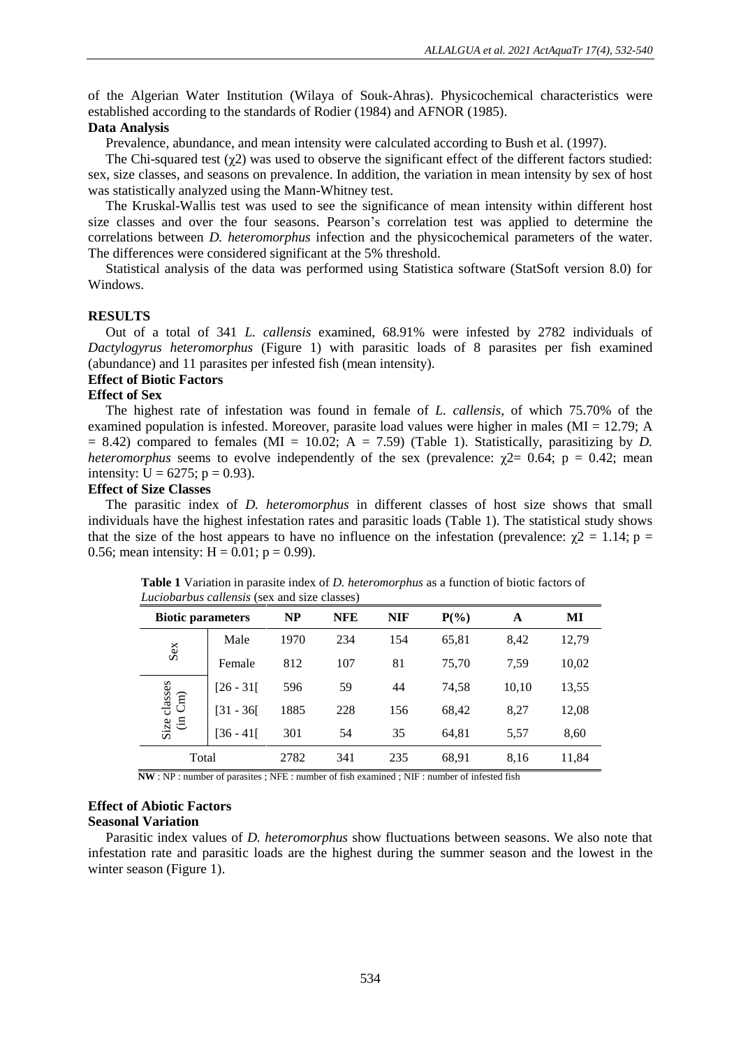of the Algerian Water Institution (Wilaya of Souk-Ahras). Physicochemical characteristics were established according to the standards of Rodier (1984) and AFNOR (1985).

### **Data Analysis**

Prevalence, abundance, and mean intensity were calculated according to Bush et al. (1997).

The Chi-squared test (χ2) was used to observe the significant effect of the different factors studied: sex, size classes, and seasons on prevalence. In addition, the variation in mean intensity by sex of host was statistically analyzed using the Mann-Whitney test.

The Kruskal-Wallis test was used to see the significance of mean intensity within different host size classes and over the four seasons. Pearson's correlation test was applied to determine the correlations between *D. heteromorphus* infection and the physicochemical parameters of the water. The differences were considered significant at the 5% threshold.

Statistical analysis of the data was performed using Statistica software (StatSoft version 8.0) for Windows.

### **RESULTS**

Out of a total of 341 *L. callensis* examined, 68.91% were infested by 2782 individuals of *Dactylogyrus heteromorphus* (Figure 1) with parasitic loads of 8 parasites per fish examined (abundance) and 11 parasites per infested fish (mean intensity).

### **Effect of Biotic Factors**

### **Effect of Sex**

The highest rate of infestation was found in female of *L. callensis*, of which 75.70% of the examined population is infested. Moreover, parasite load values were higher in males (MI = 12.79; A  $= 8.42$ ) compared to females (MI  $= 10.02$ ; A  $= 7.59$ ) (Table 1). Statistically, parasitizing by *D*. *heteromorphus* seems to evolve independently of the sex (prevalence:  $\gamma$ 2= 0.64; p = 0.42; mean intensity:  $U = 6275$ ;  $p = 0.93$ ).

### **Effect of Size Classes**

The parasitic index of *D. heteromorphus* in different classes of host size shows that small individuals have the highest infestation rates and parasitic loads (Table 1). The statistical study shows that the size of the host appears to have no influence on the infestation (prevalence:  $\gamma$ 2 = 1.14; p = 0.56; mean intensity:  $H = 0.01$ ;  $p = 0.99$ ).

| Laciobal bas callensis (SCA and size classes) |             |      |            |            |         |       |       |  |
|-----------------------------------------------|-------------|------|------------|------------|---------|-------|-------|--|
| <b>Biotic parameters</b>                      |             | NP   | <b>NFE</b> | <b>NIF</b> | $P(\%)$ | A     | MI    |  |
| Sex                                           | Male        | 1970 | 234        | 154        | 65,81   | 8,42  | 12,79 |  |
|                                               | Female      | 812  | 107        | 81         | 75,70   | 7,59  | 10,02 |  |
| Size classes<br>$\rm{Cm})$<br>$\oplus$        | $[26 - 31]$ | 596  | 59         | 44         | 74,58   | 10,10 | 13,55 |  |
|                                               | $[31 - 36]$ | 1885 | 228        | 156        | 68,42   | 8,27  | 12,08 |  |
|                                               | $[36 - 41]$ | 301  | 54         | 35         | 64,81   | 5,57  | 8,60  |  |
| Total                                         |             | 2782 | 341        | 235        | 68,91   | 8,16  | 11,84 |  |

**Table 1** Variation in parasite index of *D. heteromorphus* as a function of biotic factors of *Luciobarbus callensis* (sex and size classes)

 **NW** : NP : number of parasites ; NFE : number of fish examined ; NIF : number of infested fish

# **Effect of Abiotic Factors**

## **Seasonal Variation**

Parasitic index values of *D. heteromorphus* show fluctuations between seasons. We also note that infestation rate and parasitic loads are the highest during the summer season and the lowest in the winter season (Figure 1).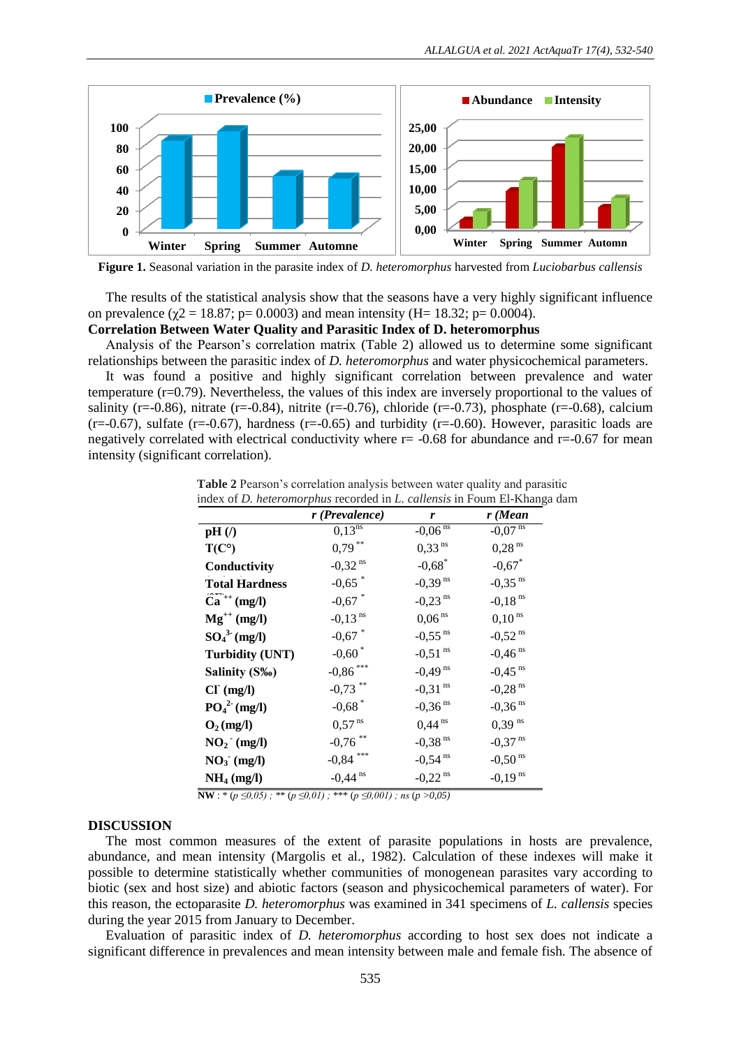

**Figure 1.** Seasonal variation in the parasite index of *D. heteromorphus* harvested from *Luciobarbus callensis*

The results of the statistical analysis show that the seasons have a very highly significant influence on prevalence ( $\gamma$ 2 = 18.87; p= 0.0003) and mean intensity (H= 18.32; p= 0.0004).

### **Correlation Between Water Quality and Parasitic Index of D. heteromorphus**

Analysis of the Pearson's correlation matrix (Table 2) allowed us to determine some significant relationships between the parasitic index of *D. heteromorphus* and water physicochemical parameters.

It was found a positive and highly significant correlation between prevalence and water temperature (r=0.79). Nevertheless, the values of this index are inversely proportional to the values of salinity (r=-0.86), nitrate (r=-0.84), nitrite (r=-0.76), chloride (r=-0.73), phosphate (r=-0.68), calcium  $(r=-0.67)$ , sulfate  $(r=-0.67)$ , hardness  $(r=-0.65)$  and turbidity  $(r=-0.60)$ . However, parasitic loads are negatively correlated with electrical conductivity where  $r = -0.68$  for abundance and  $r = -0.67$  for mean intensity (significant correlation).

| Table 2 Pearson's correlation analysis between water quality and parasitic             |
|----------------------------------------------------------------------------------------|
| index of <i>D. heteromorphus</i> recorded in <i>L. callensis</i> in Foum El-Khanga dam |

|                          | r (Prevalence)        | r                     | $r$ (Mean             |
|--------------------------|-----------------------|-----------------------|-----------------------|
| $pH(\Lambda)$            | $0,13^{ns}$           | $-0,06$ <sup>ns</sup> | $-0,07$ <sup>ns</sup> |
| $T(C^{\circ})$           | $0,79***$             | $0,33$ <sup>ns</sup>  | $0,28$ <sup>ns</sup>  |
| Conductivity             | $-0,32$ <sup>ns</sup> | $-0.68$ <sup>*</sup>  | $-0,67$ *             |
| <b>Total Hardness</b>    | $-0,65$ <sup>*</sup>  | $-0,39$ <sup>ns</sup> | $-0.35$ <sup>ns</sup> |
| $\tilde{Ca}^{++}$ (mg/l) | $-0,67$ *             | $-0,23$ <sup>ns</sup> | $-0.18$ <sup>ns</sup> |
| $Mg^{++}$ (mg/l)         | $-0,13$ <sup>ns</sup> | $0,06$ <sup>ns</sup>  | $0,10^{ns}$           |
| $SO_4^3$ (mg/l)          | $-0,67$ *             | $-0,55$ <sup>ns</sup> | $-0,52$ <sup>ns</sup> |
| <b>Turbidity (UNT)</b>   | $-0,60$ <sup>*</sup>  | $-0,51$ <sup>ns</sup> | $-0,46$ <sup>ns</sup> |
| Salinity (S‰)            | $-0,86$ ***           | $-0,49$ <sup>ns</sup> | $-0,45$ <sup>ns</sup> |
| $CI^{(mg/l)}$            | $-0.73$ **            | $-0,31$ <sup>ns</sup> | $-0,28$ <sup>ns</sup> |
| $PO42$ (mg/l)            | $-0,68$ <sup>*</sup>  | $-0,36$ <sup>ns</sup> | $-0,36$ <sup>ns</sup> |
| $O_2$ (mg/l)             | $0,57$ <sup>ns</sup>  | $0,44$ <sup>ns</sup>  | $0.39$ <sup>ns</sup>  |
| $NO2$ (mg/l)             | $-0,76$ **            | $-0.38$ <sup>ns</sup> | $-0,37$ <sup>ns</sup> |
| $NO3$ (mg/l)             | $-0,84$ ***           | $-0,54$ <sup>ns</sup> | $-0,50$ <sup>ns</sup> |
| NH <sub>4</sub> (mg/l)   | $-0,44$ <sup>ns</sup> | $-0,22$ <sup>ns</sup> | $-0,19$ <sup>ns</sup> |

**NW** : \* ( $p \le 0.05$ ); \*\* ( $p \le 0.01$ ); \*\*\* ( $p \le 0.001$ ); ns ( $p > 0.05$ )

### **DISCUSSION**

The most common measures of the extent of parasite populations in hosts are prevalence, abundance, and mean intensity (Margolis et al., 1982). Calculation of these indexes will make it possible to determine statistically whether communities of monogenean parasites vary according to biotic (sex and host size) and abiotic factors (season and physicochemical parameters of water). For this reason, the ectoparasite *D. heteromorphus* was examined in 341 specimens of *L. callensis* species during the year 2015 from January to December.

Evaluation of parasitic index of *D. heteromorphus* according to host sex does not indicate a significant difference in prevalences and mean intensity between male and female fish. The absence of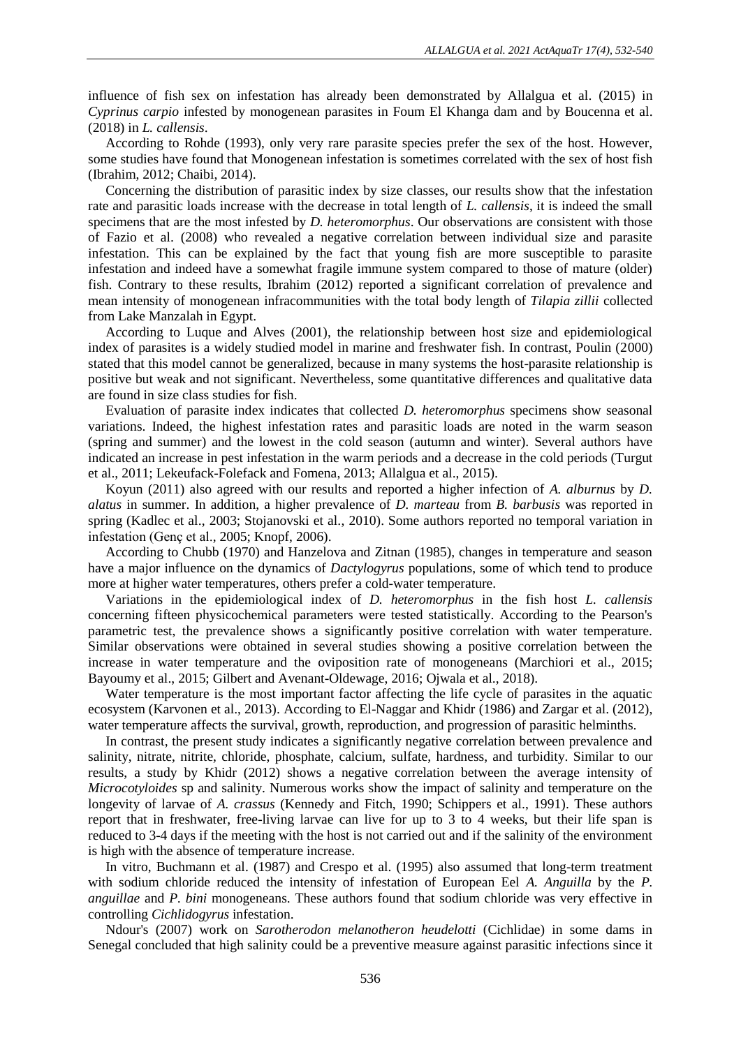influence of fish sex on infestation has already been demonstrated by Allalgua et al. (2015) in *Cyprinus carpio* infested by monogenean parasites in Foum El Khanga dam and by Boucenna et al. (2018) in *L. callensis*.

According to Rohde (1993), only very rare parasite species prefer the sex of the host. However, some studies have found that Monogenean infestation is sometimes correlated with the sex of host fish (Ibrahim, 2012; Chaibi, 2014).

Concerning the distribution of parasitic index by size classes, our results show that the infestation rate and parasitic loads increase with the decrease in total length of *L. callensis*, it is indeed the small specimens that are the most infested by *D. heteromorphus*. Our observations are consistent with those of Fazio et al. (2008) who revealed a negative correlation between individual size and parasite infestation. This can be explained by the fact that young fish are more susceptible to parasite infestation and indeed have a somewhat fragile immune system compared to those of mature (older) fish. Contrary to these results, Ibrahim (2012) reported a significant correlation of prevalence and mean intensity of monogenean infracommunities with the total body length of *Tilapia zillii* collected from Lake Manzalah in Egypt.

According to Luque and Alves (2001), the relationship between host size and epidemiological index of parasites is a widely studied model in marine and freshwater fish. In contrast, Poulin (2000) stated that this model cannot be generalized, because in many systems the host-parasite relationship is positive but weak and not significant. Nevertheless, some quantitative differences and qualitative data are found in size class studies for fish.

Evaluation of parasite index indicates that collected *D. heteromorphus* specimens show seasonal variations. Indeed, the highest infestation rates and parasitic loads are noted in the warm season (spring and summer) and the lowest in the cold season (autumn and winter). Several authors have indicated an increase in pest infestation in the warm periods and a decrease in the cold periods (Turgut et al., 2011; Lekeufack-Folefack and Fomena, 2013; Allalgua et al., 2015).

Koyun (2011) also agreed with our results and reported a higher infection of *A. alburnus* by *D. alatus* in summer. In addition, a higher prevalence of *D. marteau* from *B. barbusis* was reported in spring (Kadlec et al., 2003; Stojanovski et al., 2010). Some authors reported no temporal variation in infestation (Genç et al., 2005; Knopf, 2006).

According to Chubb (1970) and Hanzelova and Zitnan (1985), changes in temperature and season have a major influence on the dynamics of *Dactylogyrus* populations, some of which tend to produce more at higher water temperatures, others prefer a cold-water temperature.

Variations in the epidemiological index of *D. heteromorphus* in the fish host *L. callensis* concerning fifteen physicochemical parameters were tested statistically. According to the Pearson's parametric test, the prevalence shows a significantly positive correlation with water temperature. Similar observations were obtained in several studies showing a positive correlation between the increase in water temperature and the oviposition rate of monogeneans (Marchiori et al., 2015; Bayoumy et al., 2015; Gilbert and Avenant-Oldewage, 2016; Ojwala et al., 2018).

Water temperature is the most important factor affecting the life cycle of parasites in the aquatic ecosystem (Karvonen et al., 2013). According to El-Naggar and Khidr (1986) and Zargar et al. (2012), water temperature affects the survival, growth, reproduction, and progression of parasitic helminths.

In contrast, the present study indicates a significantly negative correlation between prevalence and salinity, nitrate, nitrite, chloride, phosphate, calcium, sulfate, hardness, and turbidity. Similar to our results, a study by Khidr (2012) shows a negative correlation between the average intensity of *Microcotyloides* sp and salinity. Numerous works show the impact of salinity and temperature on the longevity of larvae of *A. crassus* (Kennedy and Fitch, 1990; Schippers et al., 1991). These authors report that in freshwater, free-living larvae can live for up to 3 to 4 weeks, but their life span is reduced to 3-4 days if the meeting with the host is not carried out and if the salinity of the environment is high with the absence of temperature increase.

In vitro, Buchmann et al. (1987) and Crespo et al. (1995) also assumed that long-term treatment with sodium chloride reduced the intensity of infestation of European Eel *A. Anguilla* by the *P. anguillae* and *P. bini* monogeneans. These authors found that sodium chloride was very effective in controlling *Cichlidogyrus* infestation.

Ndour's (2007) work on *Sarotherodon melanotheron heudelotti* (Cichlidae) in some dams in Senegal concluded that high salinity could be a preventive measure against parasitic infections since it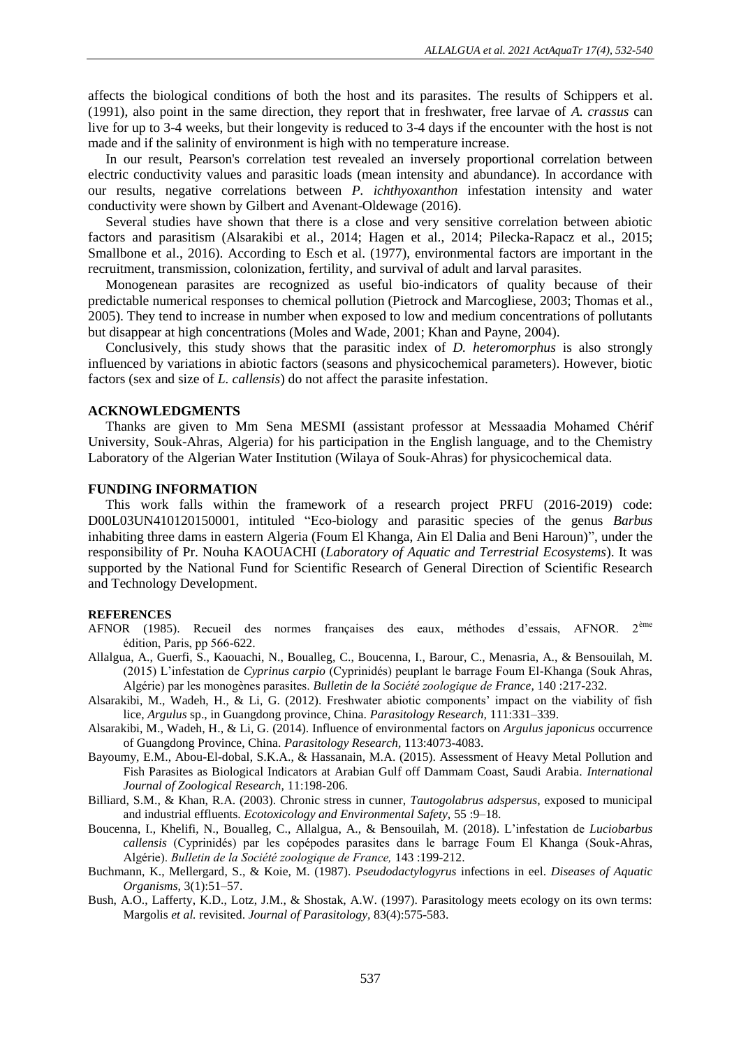affects the biological conditions of both the host and its parasites. The results of Schippers et al. (1991), also point in the same direction, they report that in freshwater, free larvae of *A. crassus* can live for up to 3-4 weeks, but their longevity is reduced to 3-4 days if the encounter with the host is not made and if the salinity of environment is high with no temperature increase.

In our result, Pearson's correlation test revealed an inversely proportional correlation between electric conductivity values and parasitic loads (mean intensity and abundance). In accordance with our results, negative correlations between *P. ichthyoxanthon* infestation intensity and water conductivity were shown by Gilbert and Avenant-Oldewage (2016).

Several studies have shown that there is a close and very sensitive correlation between abiotic factors and parasitism (Alsarakibi et al., 2014; Hagen et al., 2014; Pilecka-Rapacz et al., 2015; Smallbone et al., 2016). According to Esch et al. (1977), environmental factors are important in the recruitment, transmission, colonization, fertility, and survival of adult and larval parasites.

Monogenean parasites are recognized as useful bio-indicators of quality because of their predictable numerical responses to chemical pollution (Pietrock and Marcogliese, 2003; Thomas et al., 2005). They tend to increase in number when exposed to low and medium concentrations of pollutants but disappear at high concentrations (Moles and Wade, 2001; Khan and Payne, 2004).

Conclusively, this study shows that the parasitic index of *D. heteromorphus* is also strongly influenced by variations in abiotic factors (seasons and physicochemical parameters). However, biotic factors (sex and size of *L. callensis*) do not affect the parasite infestation.

### **ACKNOWLEDGMENTS**

Thanks are given to Mm Sena MESMI (assistant professor at Messaadia Mohamed Chérif University, Souk-Ahras, Algeria) for his participation in the English language, and to the Chemistry Laboratory of the Algerian Water Institution (Wilaya of Souk-Ahras) for physicochemical data.

### **FUNDING INFORMATION**

This work falls within the framework of a research project PRFU (2016-2019) code: D00L03UN410120150001, intituled "Eco-biology and parasitic species of the genus *Barbus* inhabiting three dams in eastern Algeria (Foum El Khanga, Ain El Dalia and Beni Haroun)", under the responsibility of Pr. Nouha KAOUACHI (*Laboratory of Aquatic and Terrestrial Ecosystems*). It was supported by the National Fund for Scientific Research of General Direction of Scientific Research and Technology Development.

#### **REFERENCES**

- AFNOR (1985). Recueil des normes françaises des eaux, méthodes d'essais, AFNOR. 2ème édition, Paris, pp 566-622.
- Allalgua, A., Guerfi, S., Kaouachi, N., Boualleg, C., Boucenna, I., Barour, C., Menasria, A., & Bensouilah, M. (2015) L'infestation de *Cyprinus carpio* (Cyprinidés) peuplant le barrage Foum El-Khanga (Souk Ahras, Algérie) par les monogènes parasites. *Bulletin de la Société zoologique de France,* 140 :217-232.
- Alsarakibi, M., Wadeh, H., & Li, G. (2012). Freshwater abiotic components' impact on the viability of fish lice, *Argulus* sp., in Guangdong province, China. *Parasitology Research,* 111:331–339.
- Alsarakibi, M., Wadeh, H., & Li, G. (2014). Influence of environmental factors on *Argulus japonicus* occurrence of Guangdong Province, China. *Parasitology Research,* 113:4073-4083.
- Bayoumy, E.M., Abou-El-dobal, S.K.A., & Hassanain, M.A. (2015). Assessment of Heavy Metal Pollution and Fish Parasites as Biological Indicators at Arabian Gulf off Dammam Coast, Saudi Arabia. *International Journal of Zoological Research,* 11:198-206.
- Billiard, S.M., & Khan, R.A. (2003). Chronic stress in cunner, *Tautogolabrus adspersus*, exposed to municipal and industrial effluents. *Ecotoxicology and Environmental Safety,* 55 :9–18.
- Boucenna, I., Khelifi, N., Boualleg, C., Allalgua, A., & Bensouilah, M. (2018). L'infestation de *Luciobarbus callensis* (Cyprinidés) par les copépodes parasites dans le barrage Foum El Khanga (Souk-Ahras, Algérie). *Bulletin de la Société zoologique de France,* 143 :199-212.
- Buchmann, K., Mellergard, S., & Koie, M. (1987). *Pseudodactylogyrus* infections in eel. *Diseases of Aquatic Organisms,* 3(1):51–57.
- Bush, A.O., Lafferty, K.D., Lotz, J.M., & Shostak, A.W. (1997). Parasitology meets ecology on its own terms: Margolis *et al.* revisited. *Journal of Parasitology,* 83(4):575-583.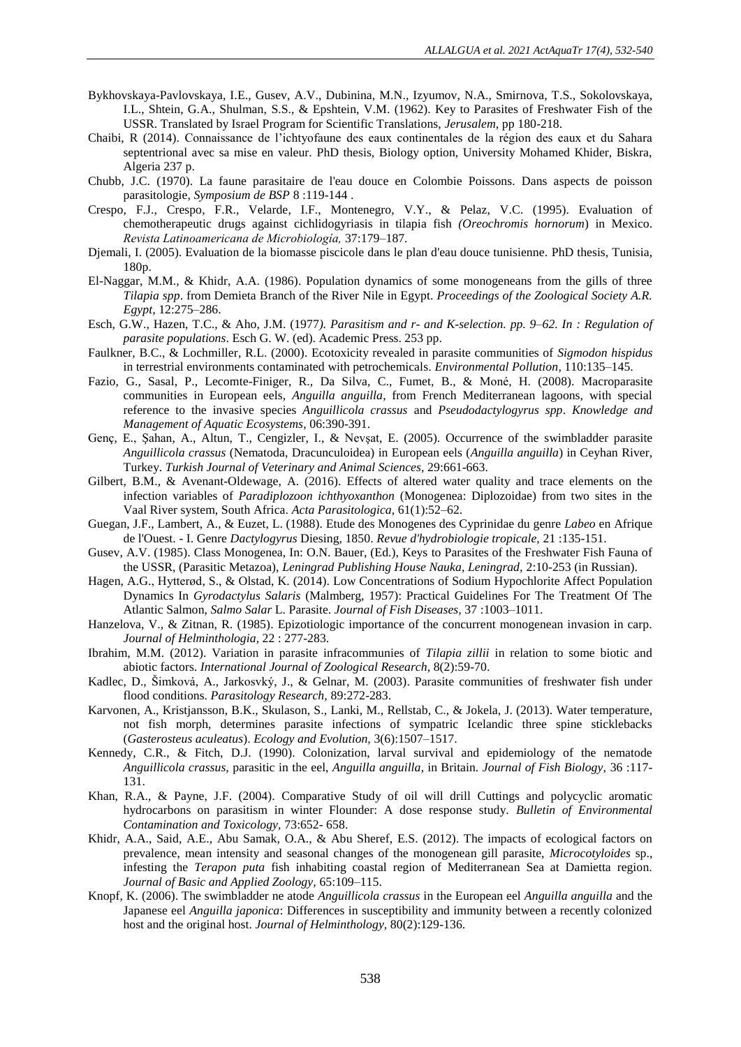- Bykhovskaya-Pavlovskaya, I.E., Gusev, A.V., Dubinina, M.N., Izyumov, N.A., Smirnova, T.S., Sokolovskaya, I.L., Shtein, G.A., Shulman, S.S., & Epshtein, V.M. (1962). Key to Parasites of Freshwater Fish of the USSR. Translated by Israel Program for Scientific Translations, *Jerusalem,* pp 180-218.
- Chaibi, R (2014). Connaissance de l'ichtyofaune des eaux continentales de la région des eaux et du Sahara septentrional avec sa mise en valeur. PhD thesis, Biology option, University Mohamed Khider, Biskra, Algeria 237 p.
- Chubb, J.C. (1970). La faune parasitaire de l'eau douce en Colombie Poissons. Dans aspects de poisson parasitologie*, Symposium de BSP* 8 :119-144 .
- Crespo, F.J., Crespo, F.R., Velarde, I.F., Montenegro, V.Y., & Pelaz, V.C. (1995). Evaluation of chemotherapeutic drugs against cichlidogyriasis in tilapia fish *(Oreochromis hornorum*) in Mexico. *Revista Latinoamericana de Microbiología,* 37:179–187.
- Djemali, I. (2005). Evaluation de la biomasse piscicole dans le plan d'eau douce tunisienne. PhD thesis, Tunisia, 180p.
- El-Naggar, M.M., & Khidr, A.A. (1986). Population dynamics of some monogeneans from the gills of three *Tilapia spp*. from Demieta Branch of the River Nile in Egypt. *Proceedings of the Zoological Society A.R. Egypt,* 12:275–286.
- Esch, G.W., Hazen, T.C., & Aho, J.M. (1977*). Parasitism and r- and K-selection. pp. 9–62. In : Regulation of parasite populations*. Esch G. W. (ed). Academic Press. 253 pp.
- Faulkner, B.C., & Lochmiller, R.L. (2000). Ecotoxicity revealed in parasite communities of *Sigmodon hispidus*  in terrestrial environments contaminated with petrochemicals. *Environmental Pollution,* 110:135–145.
- Fazio, G., Sasal, P., Lecomte-Finiger, R., Da Silva, C., Fumet, B., & Moné, H. (2008). Macroparasite communities in European eels, *Anguilla anguilla*, from French Mediterranean lagoons, with special reference to the invasive species *Anguillicola crassus* and *Pseudodactylogyrus spp*. *Knowledge and Management of Aquatic Ecosystems*, 06:390-391.
- Genç, E., Şahan, A., Altun, T., Cengizler, I., & Nevşat, E. (2005). Occurrence of the swimbladder parasite *Anguillicola crassus* (Nematoda, Dracunculoidea) in European eels (*Anguilla anguilla*) in Ceyhan River, Turkey. *Turkish Journal of Veterinary and Animal Sciences,* 29:661-663.
- Gilbert, B.M., & Avenant-Oldewage, A. (2016). Effects of altered water quality and trace elements on the infection variables of *Paradiplozoon ichthyoxanthon* (Monogenea: Diplozoidae) from two sites in the Vaal River system, South Africa. *Acta Parasitologica*, 61(1):52–62.
- Guegan, J.F., Lambert, A., & Euzet, L. (1988). Etude des Monogenes des Cyprinidae du genre *Labeo* en Afrique de l'Ouest. - I. Genre *Dactylogyrus* Diesing, 1850. *Revue d'hydrobiologie tropicale,* 21 :135-151.
- Gusev, A.V. (1985). Class Monogenea, In: O.N. Bauer, (Ed.), Keys to Parasites of the Freshwater Fish Fauna of the USSR, (Parasitic Metazoa), *Leningrad Publishing House Nauka, Leningrad,* 2:10-253 (in Russian).
- Hagen, A.G., Hytterød, S., & Olstad, K. (2014). Low Concentrations of Sodium Hypochlorite Affect Population Dynamics In *Gyrodactylus Salaris* (Malmberg, 1957): Practical Guidelines For The Treatment Of The Atlantic Salmon, *Salmo Salar* L. Parasite. *Journal of Fish Diseases,* 37 :1003–1011.
- Hanzelova, V., & Zitnan, R. (1985). Epizotiologic importance of the concurrent monogenean invasion in carp. *Journal of Helminthologia,* 22 : 277-283.
- Ibrahim, M.M. (2012). Variation in parasite infracommunies of *Tilapia zillii* in relation to some biotic and abiotic factors. *International Journal of Zoological Research*, 8(2):59-70.
- Kadlec, D., Šimková, A., Jarkosvký, J., & Gelnar, M. (2003). Parasite communities of freshwater fish under flood conditions. *Parasitology Research,* 89:272-283.
- Karvonen, A., Kristjansson, B.K., Skulason, S., Lanki, M., Rellstab, C., & Jokela, J. (2013). Water temperature, not fish morph, determines parasite infections of sympatric Icelandic three spine sticklebacks (*Gasterosteus aculeatus*). *Ecology and Evolution,* 3(6):1507–1517.
- Kennedy, C.R., & Fitch, D.J. (1990). Colonization, larval survival and epidemiology of the nematode *Anguillicola crassus,* parasitic in the eel, *Anguilla anguilla*, in Britain. *Journal of Fish Biology,* 36 :117- 131.
- Khan, R.A., & Payne, J.F. (2004). Comparative Study of oil will drill Cuttings and polycyclic aromatic hydrocarbons on parasitism in winter Flounder: A dose response study. *Bulletin of Environmental Contamination and Toxicology,* 73:652- 658.
- Khidr, A.A., Said, A.E., Abu Samak, O.A., & Abu Sheref, E.S. (2012). The impacts of ecological factors on prevalence, mean intensity and seasonal changes of the monogenean gill parasite, *Microcotyloides* sp., infesting the *Terapon puta* fish inhabiting coastal region of Mediterranean Sea at Damietta region. *Journal of Basic and Applied Zoology,* 65:109–115.
- Knopf, K. (2006). The swimbladder ne atode *Anguillicola crassus* in the European eel *Anguilla anguilla* and the Japanese eel *Anguilla japonica*: Differences in susceptibility and immunity between a recently colonized host and the original host. *Journal of Helminthology,* 80(2):129-136.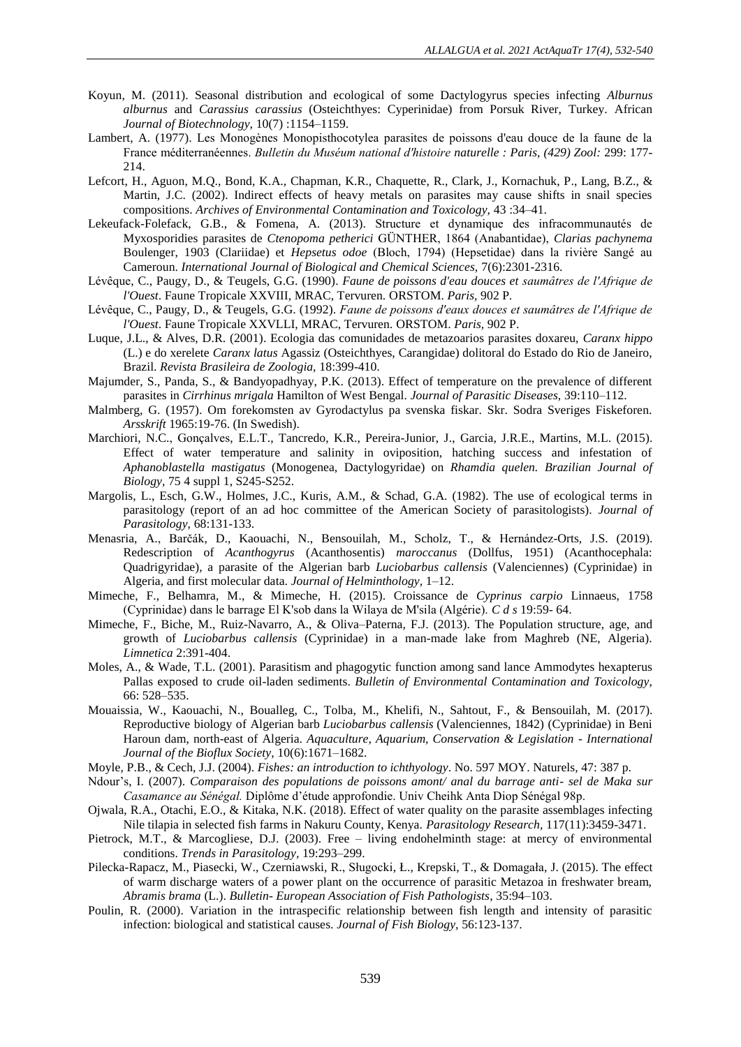- Koyun, M. (2011). Seasonal distribution and ecological of some Dactylogyrus species infecting *Alburnus alburnus* and *Carassius carassius* (Osteichthyes: Cyperinidae) from Porsuk River, Turkey. African *Journal of Biotechnology,* 10(7) :1154–1159.
- Lambert, A. (1977). Les Monogènes Monopisthocotylea parasites de poissons d'eau douce de la faune de la France méditerranéennes. *Bulletin du Muséum national d'histoire naturelle : Paris, (429) Zool:* 299: 177- 214.
- Lefcort, H., Aguon, M.Q., Bond, K.A., Chapman, K.R., Chaquette, R., Clark, J., Kornachuk, P., Lang, B.Z., & Martin, J.C. (2002). Indirect effects of heavy metals on parasites may cause shifts in snail species compositions. *Archives of Environmental Contamination and Toxicology,* 43 :34–41.
- Lekeufack-Folefack, G.B., & Fomena, A. (2013). Structure et dynamique des infracommunautés de Myxosporidies parasites de *Ctenopoma petherici* GÜNTHER, 1864 (Anabantidae), *Clarias pachynema*  Boulenger, 1903 (Clariidae) et *Hepsetus odoe* (Bloch, 1794) (Hepsetidae) dans la rivière Sangé au Cameroun. *International Journal of Biological and Chemical Sciences,* 7(6):2301-2316.
- Lévêque, C., Paugy, D., & Teugels, G.G. (1990). *Faune de poissons d'eau douces et saumâtres de l'Afrique de l'Ouest*. Faune Tropicale XXVIII, MRAC, Tervuren. ORSTOM. *Paris,* 902 P*.*
- Lévêque, C., Paugy, D., & Teugels, G.G. (1992). *Faune de poissons d'eaux douces et saumâtres de l'Afrique de l'Ouest*. Faune Tropicale XXVLLI, MRAC, Tervuren*.* ORSTOM. *Paris,* 902 P.
- Luque, J.L., & Alves, D.R. (2001). Ecologia das comunidades de metazoarios parasites doxareu, *Caranx hippo* (L.) e do xerelete *Caranx latus* Agassiz (Osteichthyes, Carangidae) dolitoral do Estado do Rio de Janeiro, Brazil. *Revista Brasileira de Zoologia,* 18:399-410.
- Majumder, S., Panda, S., & Bandyopadhyay, P.K. (2013). Effect of temperature on the prevalence of different parasites in *Cirrhinus mrigala* Hamilton of West Bengal. *Journal of Parasitic Diseases,* 39:110–112.
- Malmberg, G. (1957). Om forekomsten av Gyrodactylus pa svenska fiskar. Skr. Sodra Sveriges Fiskeforen. *Arsskrift* 1965:19-76. (In Swedish).
- Marchiori, N.C., Gonçalves, E.L.T., Tancredo, K.R., Pereira-Junior, J., Garcia, J.R.E., Martins, M.L. (2015). Effect of water temperature and salinity in oviposition, hatching success and infestation of *Aphanoblastella mastigatus* (Monogenea, Dactylogyridae) on *Rhamdia quelen. Brazilian Journal of Biology,* 75 4 suppl 1, S245-S252.
- Margolis, L., Esch, G.W., Holmes, J.C., Kuris, A.M., & Schad, G.A. (1982). The use of ecological terms in parasitology (report of an ad hoc committee of the American Society of parasitologists). *Journal of Parasitology,* 68:131-133.
- Menasria, A., Barčák, D., Kaouachi, N., Bensouilah, M., Scholz, T., & Hernández-Orts, J.S. (2019). Redescription of *Acanthogyrus* (Acanthosentis) *maroccanus* (Dollfus, 1951) (Acanthocephala: Quadrigyridae), a parasite of the Algerian barb *Luciobarbus callensis* (Valenciennes) (Cyprinidae) in Algeria, and first molecular data. *Journal of Helminthology,* 1–12.
- Mimeche, F., Belhamra, M., & Mimeche, H. (2015). Croissance de *Cyprinus carpio* Linnaeus, 1758 (Cyprinidae) dans le barrage El K'sob dans la Wilaya de M'sila (Algérie). *C d s* 19:59- 64.
- Mimeche, F., Biche, M., Ruiz-Navarro, A., & Oliva–Paterna, F.J. (2013). The Population structure, age, and growth of *Luciobarbus callensis* (Cyprinidae) in a man-made lake from Maghreb (NE, Algeria). *Limnetica* 2:391-404.
- Moles, A., & Wade, T.L. (2001). Parasitism and phagogytic function among sand lance Ammodytes hexapterus Pallas exposed to crude oil-laden sediments. *Bulletin of Environmental Contamination and Toxicology,* 66: 528–535[.](https://www.springer.com/journal/128)
- Mouaissia, W., Kaouachi, N., Boualleg, C., Tolba, M., Khelifi, N., Sahtout, F., & Bensouilah, M. (2017). Reproductive biology of Algerian barb *Luciobarbus callensis* (Valenciennes, 1842) (Cyprinidae) in Beni Haroun dam, north-east of Algeria. *Aquaculture, Aquarium, Conservation & Legislation - International Journal of the Bioflux Society,* 10(6):1671–1682.
- Moyle, P.B., & Cech, J.J. (2004). *Fishes: an introduction to ichthyology*. No. 597 MOY. Naturels*,* 47: 387 p.
- Ndour's, I. (2007). *Comparaison des populations de poissons amont/ anal du barrage anti- sel de Maka sur Casamance au Sénégal.* Diplôme d'étude approfondie. Univ Cheihk Anta Diop Sénégal 98p.
- Ojwala, R.A., Otachi, E.O., & Kitaka, N.K. (2018). Effect of water quality on the parasite assemblages infecting Nile tilapia in selected fish farms in Nakuru County, Kenya. *Parasitology Research,* 117(11):3459-3471.
- Pietrock, M.T., & Marcogliese, D.J. (2003). Free living endohelminth stage: at mercy of environmental conditions. *Trends in Parasitology,* 19:293–299.
- Pilecka-Rapacz, M., Piasecki, W., Czerniawski, R., Sługocki, Ł., Krepski, T., & Domagała, J. (2015). The effect of warm discharge waters of a power plant on the occurrence of parasitic Metazoa in freshwater bream, *Abramis brama* (L.). *Bulletin- European Association of Fish Pathologists*, 35:94–103.
- Poulin, R. (2000). Variation in the intraspecific relationship between fish length and intensity of parasitic infection: biological and statistical causes. *Journal of Fish Biology,* 56:123-137.